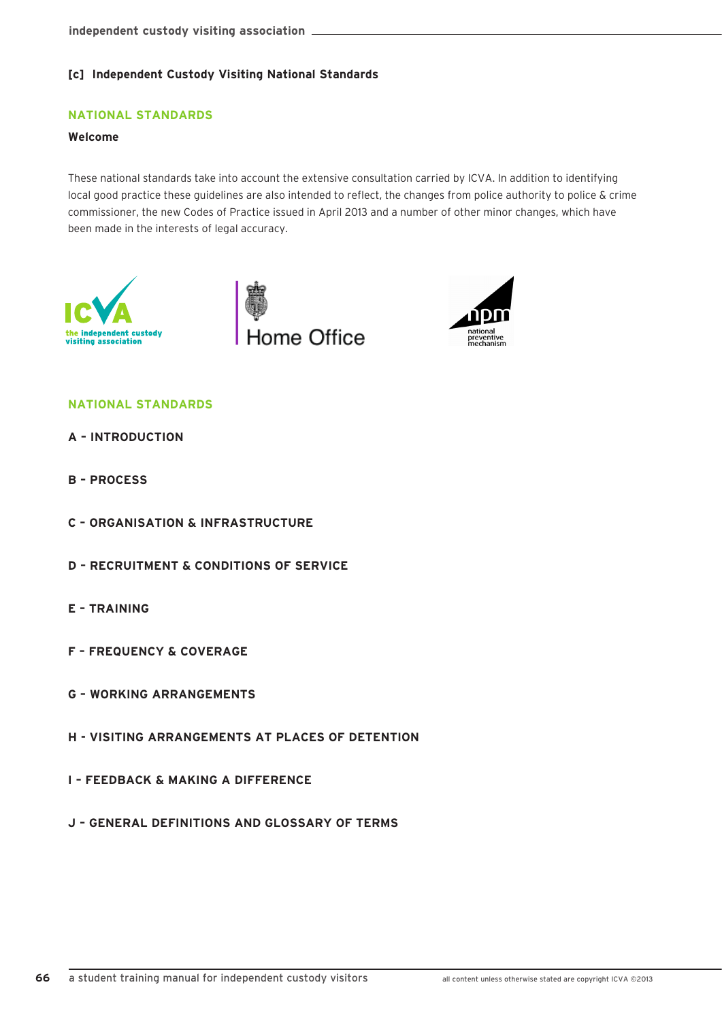# **[c] Independent Custody Visiting National Standards**

# **NATIONAL STANDARDS**

# **Welcome**

These national standards take into account the extensive consultation carried by ICVA. In addition to identifying local good practice these guidelines are also intended to reflect, the changes from police authority to police & crime commissioner, the new Codes of Practice issued in April 2013 and a number of other minor changes, which have been made in the interests of legal accuracy.







# **NATIONAL STANDARDS**

- **A INTRODUCTION**
- **B PROCESS**
- **C ORGANISATION & INFRASTRUCTURE**
- **D RECRUITMENT & CONDITIONS OF SERVICE**
- **E TRAINING**
- **F FREQUENCY & COVERAGE**
- **G WORKING ARRANGEMENTS**
- **H VISITING ARRANGEMENTS AT PLACES OF DETENTION**
- **I FEEDBACK & MAKING A DIFFERENCE**
- **J GENERAL DEFINITIONS AND GLOSSARY OF TERMS**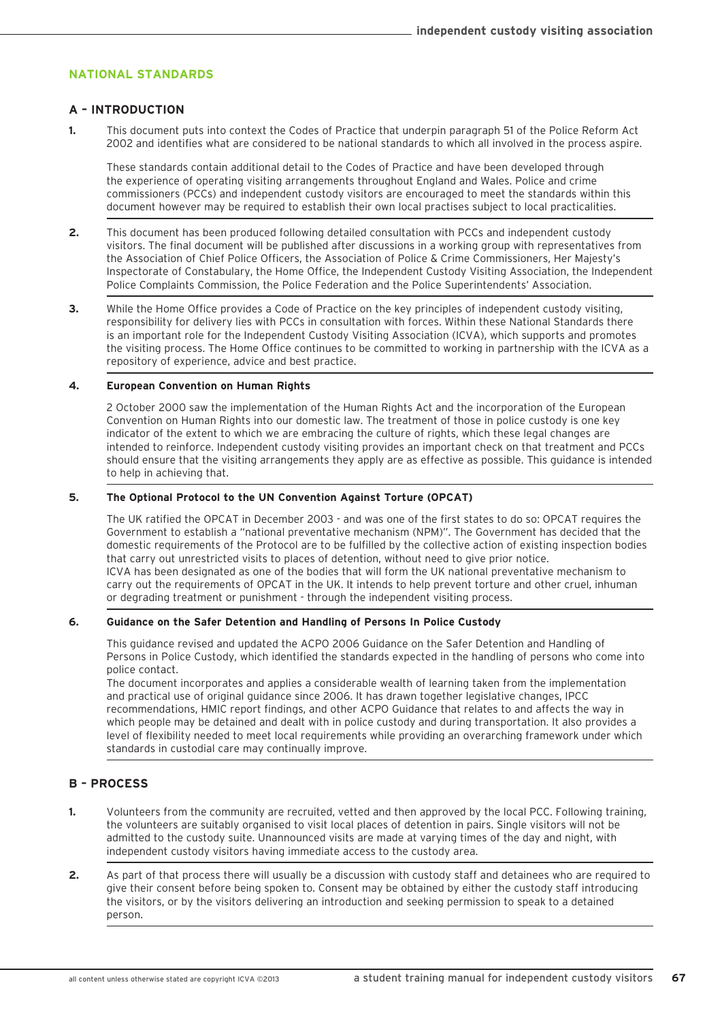# **NATIONAL STANDARDS**

#### **A – INTRODUCTION**

**1.** This document puts into context the Codes of Practice that underpin paragraph 51 of the Police Reform Act 2002 and identifies what are considered to be national standards to which all involved in the process aspire.

These standards contain additional detail to the Codes of Practice and have been developed through the experience of operating visiting arrangements throughout England and Wales. Police and crime commissioners (PCCs) and independent custody visitors are encouraged to meet the standards within this document however may be required to establish their own local practises subject to local practicalities.

- **2.** This document has been produced following detailed consultation with PCCs and independent custody visitors. The final document will be published after discussions in a working group with representatives from the Association of Chief Police Officers, the Association of Police & Crime Commissioners, Her Majesty's Inspectorate of Constabulary, the Home Office, the Independent Custody Visiting Association, the Independent Police Complaints Commission, the Police Federation and the Police Superintendents' Association.
- **3.** While the Home Office provides a Code of Practice on the key principles of independent custody visiting, responsibility for delivery lies with PCCs in consultation with forces. Within these National Standards there is an important role for the Independent Custody Visiting Association (ICVA), which supports and promotes the visiting process. The Home Office continues to be committed to working in partnership with the ICVA as a repository of experience, advice and best practice.

#### **4. European Convention on Human Rights**

2 October 2000 saw the implementation of the Human Rights Act and the incorporation of the European Convention on Human Rights into our domestic law. The treatment of those in police custody is one key indicator of the extent to which we are embracing the culture of rights, which these legal changes are intended to reinforce. Independent custody visiting provides an important check on that treatment and PCCs should ensure that the visiting arrangements they apply are as effective as possible. This guidance is intended to help in achieving that.

### **5. The Optional Protocol to the UN Convention Against Torture (OPCAT)**

The UK ratified the OPCAT in December 2003 - and was one of the first states to do so: OPCAT requires the Government to establish a "national preventative mechanism (NPM)". The Government has decided that the domestic requirements of the Protocol are to be fulfilled by the collective action of existing inspection bodies that carry out unrestricted visits to places of detention, without need to give prior notice. ICVA has been designated as one of the bodies that will form the UK national preventative mechanism to carry out the requirements of OPCAT in the UK. It intends to help prevent torture and other cruel, inhuman or degrading treatment or punishment - through the independent visiting process.

### **6. Guidance on the Safer Detention and Handling of Persons In Police Custody**

This guidance revised and updated the ACPO 2006 Guidance on the Safer Detention and Handling of Persons in Police Custody, which identified the standards expected in the handling of persons who come into police contact.

The document incorporates and applies a considerable wealth of learning taken from the implementation and practical use of original guidance since 2006. It has drawn together legislative changes, IPCC recommendations, HMIC report findings, and other ACPO Guidance that relates to and affects the way in which people may be detained and dealt with in police custody and during transportation. It also provides a level of flexibility needed to meet local requirements while providing an overarching framework under which standards in custodial care may continually improve.

### **B – PROCESS**

- **1.** Volunteers from the community are recruited, vetted and then approved by the local PCC. Following training, the volunteers are suitably organised to visit local places of detention in pairs. Single visitors will not be admitted to the custody suite. Unannounced visits are made at varying times of the day and night, with independent custody visitors having immediate access to the custody area.
- **2.** As part of that process there will usually be a discussion with custody staff and detainees who are required to give their consent before being spoken to. Consent may be obtained by either the custody staff introducing the visitors, or by the visitors delivering an introduction and seeking permission to speak to a detained person.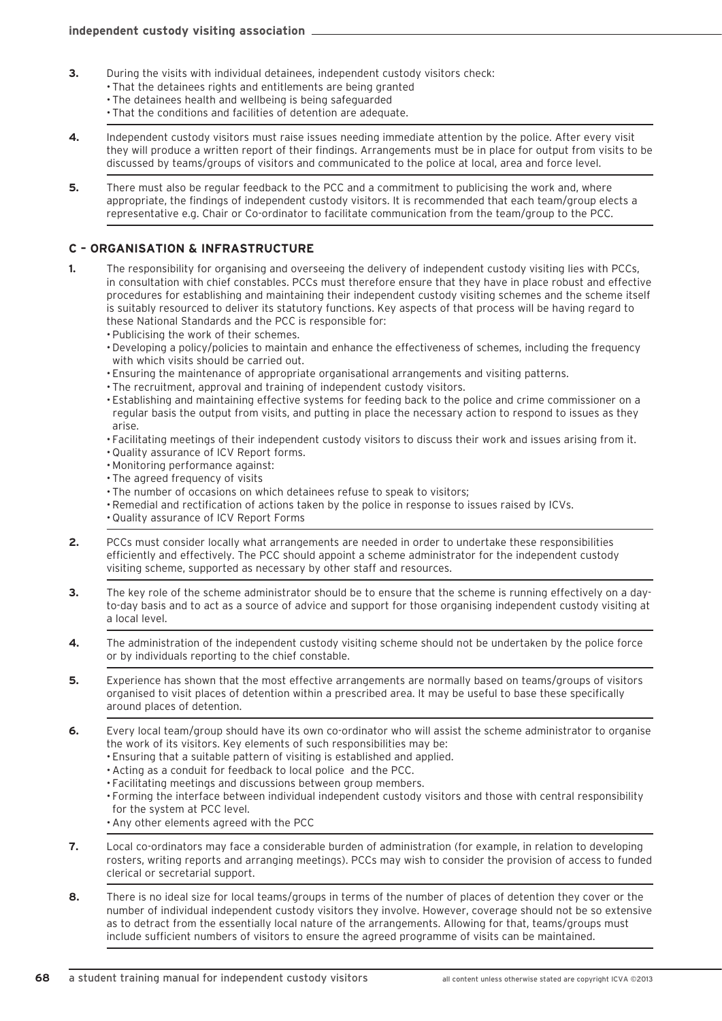- **3.** During the visits with individual detainees, independent custody visitors check:
	- That the detainees rights and entitlements are being granted
		- The detainees health and wellbeing is being safeguarded
		- That the conditions and facilities of detention are adequate.
- **4.** Independent custody visitors must raise issues needing immediate attention by the police. After every visit they will produce a written report of their findings. Arrangements must be in place for output from visits to be discussed by teams/groups of visitors and communicated to the police at local, area and force level.
- **5.** There must also be regular feedback to the PCC and a commitment to publicising the work and, where appropriate, the findings of independent custody visitors. It is recommended that each team/group elects a representative e.g. Chair or Co-ordinator to facilitate communication from the team/group to the PCC.

### **C – ORGANISATION & INFRASTRUCTURE**

- **1.** The responsibility for organising and overseeing the delivery of independent custody visiting lies with PCCs, in consultation with chief constables. PCCs must therefore ensure that they have in place robust and effective procedures for establishing and maintaining their independent custody visiting schemes and the scheme itself is suitably resourced to deliver its statutory functions. Key aspects of that process will be having regard to these National Standards and the PCC is responsible for:
	- Publicising the work of their schemes.
	- •Developing a policy/policies to maintain and enhance the effectiveness of schemes, including the frequency with which visits should be carried out.
	- Ensuring the maintenance of appropriate organisational arrangements and visiting patterns.
	- The recruitment, approval and training of independent custody visitors.
	- Establishing and maintaining effective systems for feeding back to the police and crime commissioner on a regular basis the output from visits, and putting in place the necessary action to respond to issues as they arise.
	- Facilitating meetings of their independent custody visitors to discuss their work and issues arising from it.
	- Quality assurance of ICV Report forms.
	- Monitoring performance against:
	- The agreed frequency of visits
	- The number of occasions on which detainees refuse to speak to visitors;
	- •Remedial and rectification of actions taken by the police in response to issues raised by ICVs. • Quality assurance of ICV Report Forms
- **2.** PCCs must consider locally what arrangements are needed in order to undertake these responsibilities efficiently and effectively. The PCC should appoint a scheme administrator for the independent custody visiting scheme, supported as necessary by other staff and resources.
- **3.** The key role of the scheme administrator should be to ensure that the scheme is running effectively on a dayto-day basis and to act as a source of advice and support for those organising independent custody visiting at a local level.
- **4.** The administration of the independent custody visiting scheme should not be undertaken by the police force or by individuals reporting to the chief constable.
- **5.** Experience has shown that the most effective arrangements are normally based on teams/groups of visitors organised to visit places of detention within a prescribed area. It may be useful to base these specifically around places of detention.
- **6.** Every local team/group should have its own co-ordinator who will assist the scheme administrator to organise the work of its visitors. Key elements of such responsibilities may be:
	- Ensuring that a suitable pattern of visiting is established and applied.
	- •Acting as a conduit for feedback to local police and the PCC.
	- Facilitating meetings and discussions between group members.
	- Forming the interface between individual independent custody visitors and those with central responsibility for the system at PCC level.
	- •Any other elements agreed with the PCC
- **7.** Local co-ordinators may face a considerable burden of administration (for example, in relation to developing rosters, writing reports and arranging meetings). PCCs may wish to consider the provision of access to funded clerical or secretarial support.
- **8.** There is no ideal size for local teams/groups in terms of the number of places of detention they cover or the number of individual independent custody visitors they involve. However, coverage should not be so extensive as to detract from the essentially local nature of the arrangements. Allowing for that, teams/groups must include sufficient numbers of visitors to ensure the agreed programme of visits can be maintained.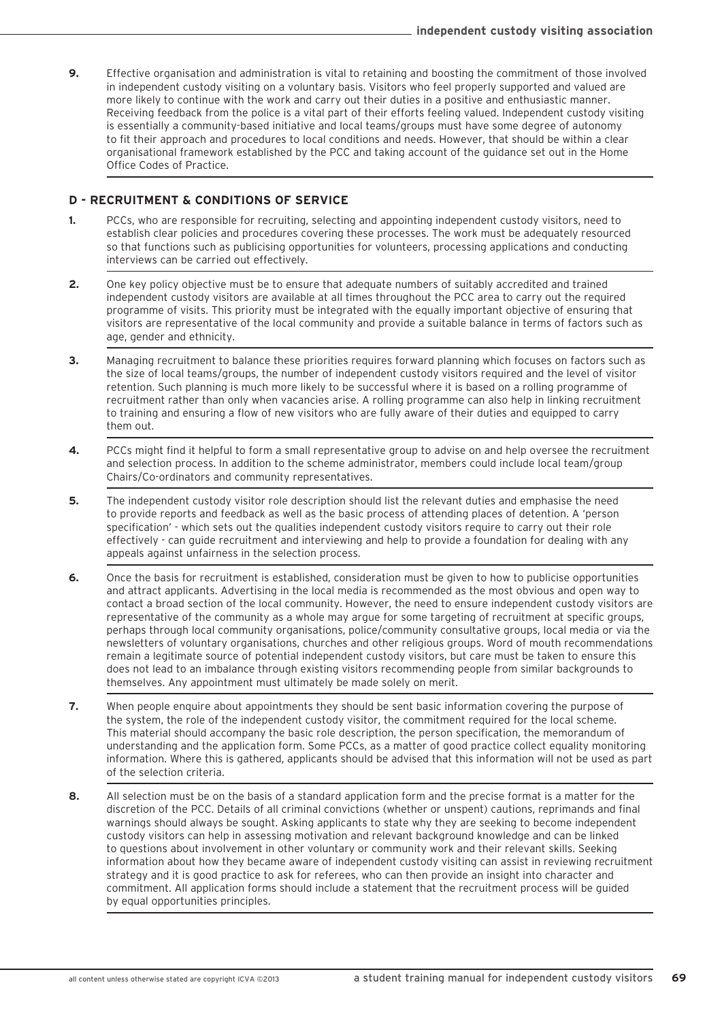**9.** Effective organisation and administration is vital to retaining and boosting the commitment of those involved in independent custody visiting on a voluntary basis. Visitors who feel properly supported and valued are more likely to continue with the work and carry out their duties in a positive and enthusiastic manner. Receiving feedback from the police is a vital part of their efforts feeling valued. Independent custody visiting is essentially a community-based initiative and local teams/groups must have some degree of autonomy to fit their approach and procedures to local conditions and needs. However, that should be within a clear organisational framework established by the PCC and taking account of the guidance set out in the Home Office Codes of Practice.

### **D - RECRUITMENT & CONDITIONS OF SERVICE**

- **1.** PCCs, who are responsible for recruiting, selecting and appointing independent custody visitors, need to establish clear policies and procedures covering these processes. The work must be adequately resourced so that functions such as publicising opportunities for volunteers, processing applications and conducting interviews can be carried out effectively.
- **2.** One key policy objective must be to ensure that adequate numbers of suitably accredited and trained independent custody visitors are available at all times throughout the PCC area to carry out the required programme of visits. This priority must be integrated with the equally important objective of ensuring that visitors are representative of the local community and provide a suitable balance in terms of factors such as age, gender and ethnicity.
- **3.** Managing recruitment to balance these priorities requires forward planning which focuses on factors such as the size of local teams/groups, the number of independent custody visitors required and the level of visitor retention. Such planning is much more likely to be successful where it is based on a rolling programme of recruitment rather than only when vacancies arise. A rolling programme can also help in linking recruitment to training and ensuring a flow of new visitors who are fully aware of their duties and equipped to carry them out.
- **4.** PCCs might find it helpful to form a small representative group to advise on and help oversee the recruitment and selection process. In addition to the scheme administrator, members could include local team/group Chairs/Co-ordinators and community representatives.
- **5.** The independent custody visitor role description should list the relevant duties and emphasise the need to provide reports and feedback as well as the basic process of attending places of detention. A 'person specification' - which sets out the qualities independent custody visitors require to carry out their role effectively - can guide recruitment and interviewing and help to provide a foundation for dealing with any appeals against unfairness in the selection process.
- **6.** Once the basis for recruitment is established, consideration must be given to how to publicise opportunities and attract applicants. Advertising in the local media is recommended as the most obvious and open way to contact a broad section of the local community. However, the need to ensure independent custody visitors are representative of the community as a whole may argue for some targeting of recruitment at specific groups, perhaps through local community organisations, police/community consultative groups, local media or via the newsletters of voluntary organisations, churches and other religious groups. Word of mouth recommendations remain a legitimate source of potential independent custody visitors, but care must be taken to ensure this does not lead to an imbalance through existing visitors recommending people from similar backgrounds to themselves. Any appointment must ultimately be made solely on merit.
- **7.** When people enquire about appointments they should be sent basic information covering the purpose of the system, the role of the independent custody visitor, the commitment required for the local scheme. This material should accompany the basic role description, the person specification, the memorandum of understanding and the application form. Some PCCs, as a matter of good practice collect equality monitoring information. Where this is gathered, applicants should be advised that this information will not be used as part of the selection criteria.
- **8.** All selection must be on the basis of a standard application form and the precise format is a matter for the discretion of the PCC. Details of all criminal convictions (whether or unspent) cautions, reprimands and final warnings should always be sought. Asking applicants to state why they are seeking to become independent custody visitors can help in assessing motivation and relevant background knowledge and can be linked to questions about involvement in other voluntary or community work and their relevant skills. Seeking information about how they became aware of independent custody visiting can assist in reviewing recruitment strategy and it is good practice to ask for referees, who can then provide an insight into character and commitment. All application forms should include a statement that the recruitment process will be guided by equal opportunities principles.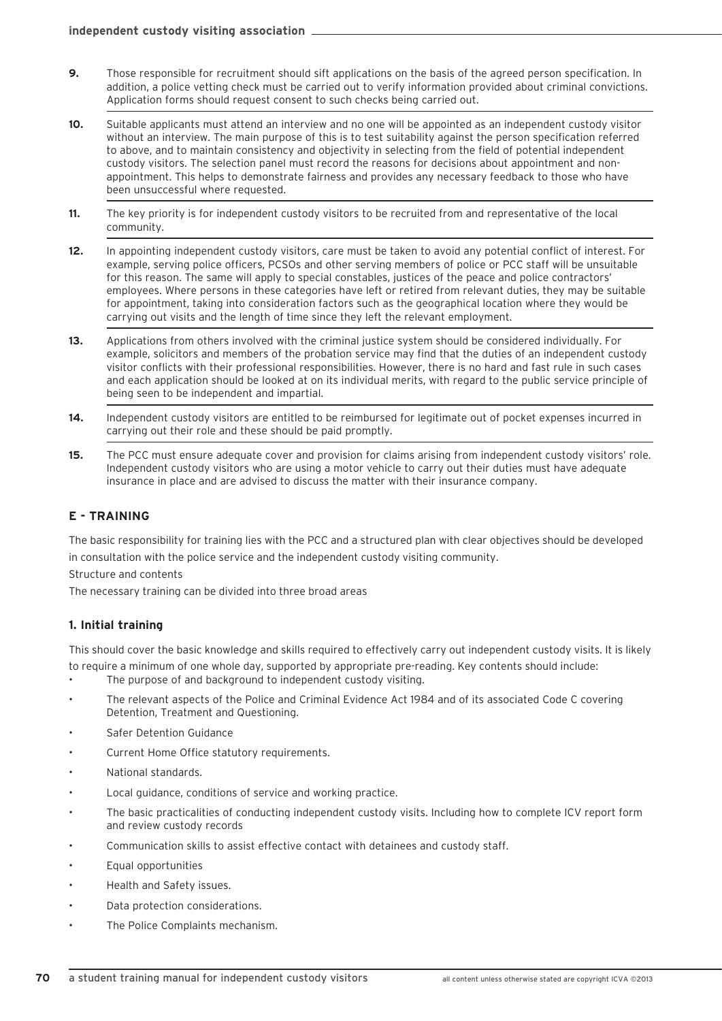- **9.** Those responsible for recruitment should sift applications on the basis of the agreed person specification. In addition, a police vetting check must be carried out to verify information provided about criminal convictions. Application forms should request consent to such checks being carried out.
- **10.** Suitable applicants must attend an interview and no one will be appointed as an independent custody visitor without an interview. The main purpose of this is to test suitability against the person specification referred to above, and to maintain consistency and objectivity in selecting from the field of potential independent custody visitors. The selection panel must record the reasons for decisions about appointment and nonappointment. This helps to demonstrate fairness and provides any necessary feedback to those who have been unsuccessful where requested.
- **11.** The key priority is for independent custody visitors to be recruited from and representative of the local community.
- **12.** In appointing independent custody visitors, care must be taken to avoid any potential conflict of interest. For example, serving police officers, PCSOs and other serving members of police or PCC staff will be unsuitable for this reason. The same will apply to special constables, justices of the peace and police contractors' employees. Where persons in these categories have left or retired from relevant duties, they may be suitable for appointment, taking into consideration factors such as the geographical location where they would be carrying out visits and the length of time since they left the relevant employment.
- **13.** Applications from others involved with the criminal justice system should be considered individually. For example, solicitors and members of the probation service may find that the duties of an independent custody visitor conflicts with their professional responsibilities. However, there is no hard and fast rule in such cases and each application should be looked at on its individual merits, with regard to the public service principle of being seen to be independent and impartial.
- **14.** Independent custody visitors are entitled to be reimbursed for legitimate out of pocket expenses incurred in carrying out their role and these should be paid promptly.
- **15.** The PCC must ensure adequate cover and provision for claims arising from independent custody visitors' role. Independent custody visitors who are using a motor vehicle to carry out their duties must have adequate insurance in place and are advised to discuss the matter with their insurance company.

# **E - TRAINING**

The basic responsibility for training lies with the PCC and a structured plan with clear objectives should be developed in consultation with the police service and the independent custody visiting community.

Structure and contents

The necessary training can be divided into three broad areas

### **1. Initial training**

This should cover the basic knowledge and skills required to effectively carry out independent custody visits. It is likely to require a minimum of one whole day, supported by appropriate pre-reading. Key contents should include:

- The purpose of and background to independent custody visiting.
- The relevant aspects of the Police and Criminal Evidence Act 1984 and of its associated Code C covering Detention, Treatment and Questioning.
- Safer Detention Guidance
- Current Home Office statutory requirements.
- National standards.
- Local guidance, conditions of service and working practice.
- The basic practicalities of conducting independent custody visits. Including how to complete ICV report form and review custody records
- Communication skills to assist effective contact with detainees and custody staff.
- Equal opportunities
- Health and Safety issues.
- Data protection considerations.
- The Police Complaints mechanism.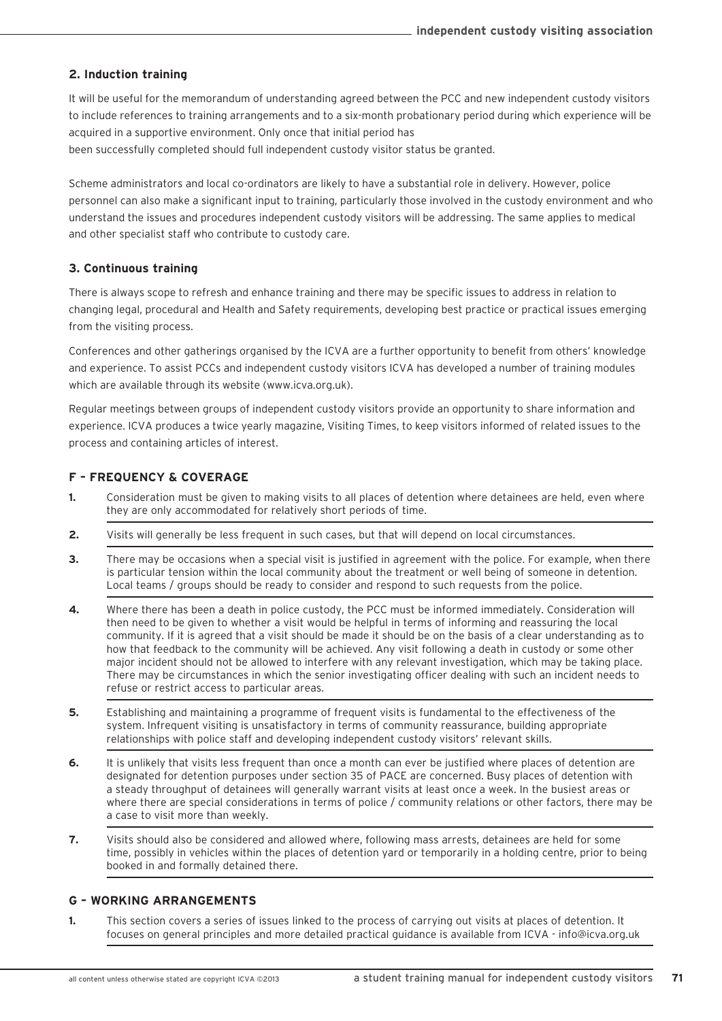# **2. Induction training**

It will be useful for the memorandum of understanding agreed between the PCC and new independent custody visitors to include references to training arrangements and to a six-month probationary period during which experience will be acquired in a supportive environment. Only once that initial period has been successfully completed should full independent custody visitor status be granted.

Scheme administrators and local co-ordinators are likely to have a substantial role in delivery. However, police personnel can also make a significant input to training, particularly those involved in the custody environment and who understand the issues and procedures independent custody visitors will be addressing. The same applies to medical and other specialist staff who contribute to custody care.

# **3. Continuous training**

There is always scope to refresh and enhance training and there may be specific issues to address in relation to changing legal, procedural and Health and Safety requirements, developing best practice or practical issues emerging from the visiting process.

Conferences and other gatherings organised by the ICVA are a further opportunity to benefit from others' knowledge and experience. To assist PCCs and independent custody visitors ICVA has developed a number of training modules which are available through its website (www.icva.org.uk).

Regular meetings between groups of independent custody visitors provide an opportunity to share information and experience. ICVA produces a twice yearly magazine, Visiting Times, to keep visitors informed of related issues to the process and containing articles of interest.

# **F – FREQUENCY & COVERAGE**

- **1.** Consideration must be given to making visits to all places of detention where detainees are held, even where they are only accommodated for relatively short periods of time.
- **2.** Visits will generally be less frequent in such cases, but that will depend on local circumstances.
- **3.** There may be occasions when a special visit is justified in agreement with the police. For example, when there is particular tension within the local community about the treatment or well being of someone in detention. Local teams / groups should be ready to consider and respond to such requests from the police.
- **4.** Where there has been a death in police custody, the PCC must be informed immediately. Consideration will then need to be given to whether a visit would be helpful in terms of informing and reassuring the local community. If it is agreed that a visit should be made it should be on the basis of a clear understanding as to how that feedback to the community will be achieved. Any visit following a death in custody or some other major incident should not be allowed to interfere with any relevant investigation, which may be taking place. There may be circumstances in which the senior investigating officer dealing with such an incident needs to refuse or restrict access to particular areas.
- **5.** Establishing and maintaining a programme of frequent visits is fundamental to the effectiveness of the system. Infrequent visiting is unsatisfactory in terms of community reassurance, building appropriate relationships with police staff and developing independent custody visitors' relevant skills.
- **6.** It is unlikely that visits less frequent than once a month can ever be justified where places of detention are designated for detention purposes under section 35 of PACE are concerned. Busy places of detention with a steady throughput of detainees will generally warrant visits at least once a week. In the busiest areas or where there are special considerations in terms of police / community relations or other factors, there may be a case to visit more than weekly.
- **7.** Visits should also be considered and allowed where, following mass arrests, detainees are held for some time, possibly in vehicles within the places of detention yard or temporarily in a holding centre, prior to being booked in and formally detained there.

# **G – WORKING ARRANGEMENTS**

**1.** This section covers a series of issues linked to the process of carrying out visits at places of detention. It focuses on general principles and more detailed practical guidance is available from ICVA - info@icva.org.uk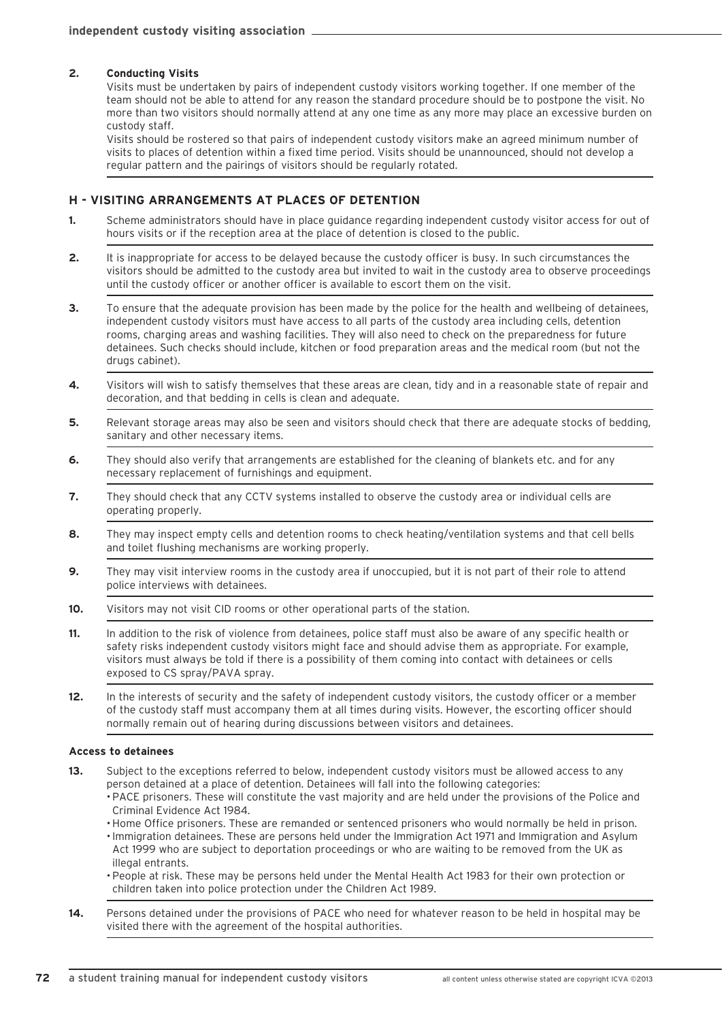### **2. Conducting Visits**

Visits must be undertaken by pairs of independent custody visitors working together. If one member of the team should not be able to attend for any reason the standard procedure should be to postpone the visit. No more than two visitors should normally attend at any one time as any more may place an excessive burden on custody staff.

Visits should be rostered so that pairs of independent custody visitors make an agreed minimum number of visits to places of detention within a fixed time period. Visits should be unannounced, should not develop a regular pattern and the pairings of visitors should be regularly rotated.

### **H - VISITING ARRANGEMENTS AT PLACES OF DETENTION**

- **1.** Scheme administrators should have in place guidance regarding independent custody visitor access for out of hours visits or if the reception area at the place of detention is closed to the public.
- **2.** It is inappropriate for access to be delayed because the custody officer is busy. In such circumstances the visitors should be admitted to the custody area but invited to wait in the custody area to observe proceedings until the custody officer or another officer is available to escort them on the visit.
- **3.** To ensure that the adequate provision has been made by the police for the health and wellbeing of detainees, independent custody visitors must have access to all parts of the custody area including cells, detention rooms, charging areas and washing facilities. They will also need to check on the preparedness for future detainees. Such checks should include, kitchen or food preparation areas and the medical room (but not the drugs cabinet).
- **4.** Visitors will wish to satisfy themselves that these areas are clean, tidy and in a reasonable state of repair and decoration, and that bedding in cells is clean and adequate.
- **5.** Relevant storage areas may also be seen and visitors should check that there are adequate stocks of bedding, sanitary and other necessary items.
- **6.** They should also verify that arrangements are established for the cleaning of blankets etc. and for any necessary replacement of furnishings and equipment.
- **7.** They should check that any CCTV systems installed to observe the custody area or individual cells are operating properly.
- **8.** They may inspect empty cells and detention rooms to check heating/ventilation systems and that cell bells and toilet flushing mechanisms are working properly.
- **9.** They may visit interview rooms in the custody area if unoccupied, but it is not part of their role to attend police interviews with detainees.
- **10.** Visitors may not visit CID rooms or other operational parts of the station.
- **11.** In addition to the risk of violence from detainees, police staff must also be aware of any specific health or safety risks independent custody visitors might face and should advise them as appropriate. For example, visitors must always be told if there is a possibility of them coming into contact with detainees or cells exposed to CS spray/PAVA spray.
- **12.** In the interests of security and the safety of independent custody visitors, the custody officer or a member of the custody staff must accompany them at all times during visits. However, the escorting officer should normally remain out of hearing during discussions between visitors and detainees.

#### **Access to detainees**

- **13.** Subject to the exceptions referred to below, independent custody visitors must be allowed access to any person detained at a place of detention. Detainees will fall into the following categories: • PACE prisoners. These will constitute the vast majority and are held under the provisions of the Police and Criminal Evidence Act 1984.
	- •Home Office prisoners. These are remanded or sentenced prisoners who would normally be held in prison.
	- •Immigration detainees. These are persons held under the Immigration Act 1971 and Immigration and Asylum Act 1999 who are subject to deportation proceedings or who are waiting to be removed from the UK as illegal entrants.
	- People at risk. These may be persons held under the Mental Health Act 1983 for their own protection or children taken into police protection under the Children Act 1989.
- **14.** Persons detained under the provisions of PACE who need for whatever reason to be held in hospital may be visited there with the agreement of the hospital authorities.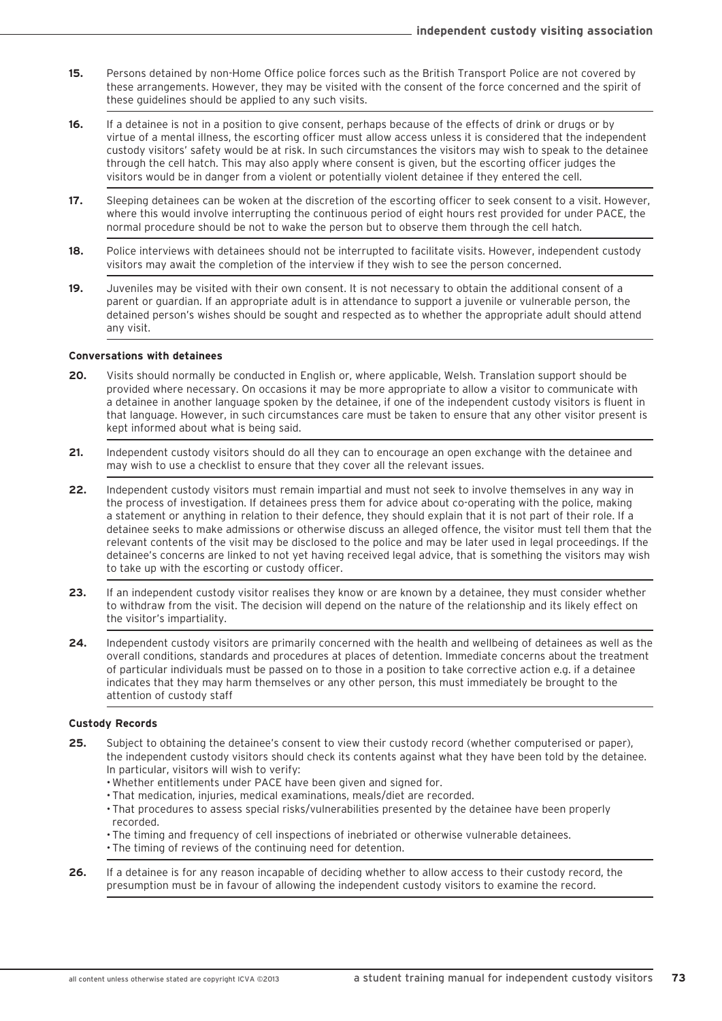- **15.** Persons detained by non-Home Office police forces such as the British Transport Police are not covered by these arrangements. However, they may be visited with the consent of the force concerned and the spirit of these guidelines should be applied to any such visits.
- **16.** If a detainee is not in a position to give consent, perhaps because of the effects of drink or drugs or by virtue of a mental illness, the escorting officer must allow access unless it is considered that the independent custody visitors' safety would be at risk. In such circumstances the visitors may wish to speak to the detainee through the cell hatch. This may also apply where consent is given, but the escorting officer judges the visitors would be in danger from a violent or potentially violent detainee if they entered the cell.
- **17.** Sleeping detainees can be woken at the discretion of the escorting officer to seek consent to a visit. However, where this would involve interrupting the continuous period of eight hours rest provided for under PACE, the normal procedure should be not to wake the person but to observe them through the cell hatch.
- **18.** Police interviews with detainees should not be interrupted to facilitate visits. However, independent custody visitors may await the completion of the interview if they wish to see the person concerned.
- **19.** Juveniles may be visited with their own consent. It is not necessary to obtain the additional consent of a parent or guardian. If an appropriate adult is in attendance to support a juvenile or vulnerable person, the detained person's wishes should be sought and respected as to whether the appropriate adult should attend any visit.

#### **Conversations with detainees**

- **20.** Visits should normally be conducted in English or, where applicable, Welsh. Translation support should be provided where necessary. On occasions it may be more appropriate to allow a visitor to communicate with a detainee in another language spoken by the detainee, if one of the independent custody visitors is fluent in that language. However, in such circumstances care must be taken to ensure that any other visitor present is kept informed about what is being said.
- **21.** Independent custody visitors should do all they can to encourage an open exchange with the detainee and may wish to use a checklist to ensure that they cover all the relevant issues.
- **22.** Independent custody visitors must remain impartial and must not seek to involve themselves in any way in the process of investigation. If detainees press them for advice about co-operating with the police, making a statement or anything in relation to their defence, they should explain that it is not part of their role. If a detainee seeks to make admissions or otherwise discuss an alleged offence, the visitor must tell them that the relevant contents of the visit may be disclosed to the police and may be later used in legal proceedings. If the detainee's concerns are linked to not yet having received legal advice, that is something the visitors may wish to take up with the escorting or custody officer.
- **23.** If an independent custody visitor realises they know or are known by a detainee, they must consider whether to withdraw from the visit. The decision will depend on the nature of the relationship and its likely effect on the visitor's impartiality.
- **24.** Independent custody visitors are primarily concerned with the health and wellbeing of detainees as well as the overall conditions, standards and procedures at places of detention. Immediate concerns about the treatment of particular individuals must be passed on to those in a position to take corrective action e.g. if a detainee indicates that they may harm themselves or any other person, this must immediately be brought to the attention of custody staff

### **Custody Records**

- **25.** Subject to obtaining the detainee's consent to view their custody record (whether computerised or paper), the independent custody visitors should check its contents against what they have been told by the detainee. In particular, visitors will wish to verify:
	- Whether entitlements under PACE have been given and signed for.
	- That medication, injuries, medical examinations, meals/diet are recorded.
	- That procedures to assess special risks/vulnerabilities presented by the detainee have been properly recorded.
	- The timing and frequency of cell inspections of inebriated or otherwise vulnerable detainees.
	- The timing of reviews of the continuing need for detention.
- **26.** If a detainee is for any reason incapable of deciding whether to allow access to their custody record, the presumption must be in favour of allowing the independent custody visitors to examine the record.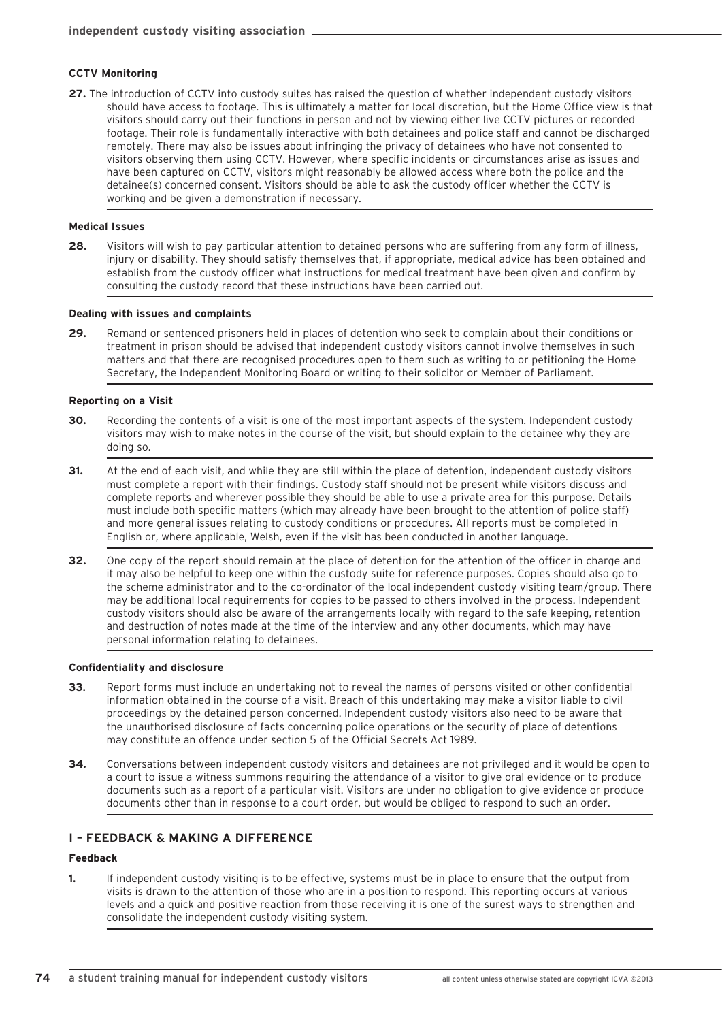### **CCTV Monitoring**

**27.** The introduction of CCTV into custody suites has raised the question of whether independent custody visitors should have access to footage. This is ultimately a matter for local discretion, but the Home Office view is that visitors should carry out their functions in person and not by viewing either live CCTV pictures or recorded footage. Their role is fundamentally interactive with both detainees and police staff and cannot be discharged remotely. There may also be issues about infringing the privacy of detainees who have not consented to visitors observing them using CCTV. However, where specific incidents or circumstances arise as issues and have been captured on CCTV, visitors might reasonably be allowed access where both the police and the detainee(s) concerned consent. Visitors should be able to ask the custody officer whether the CCTV is working and be given a demonstration if necessary.

#### **Medical Issues**

**28.** Visitors will wish to pay particular attention to detained persons who are suffering from any form of illness, injury or disability. They should satisfy themselves that, if appropriate, medical advice has been obtained and establish from the custody officer what instructions for medical treatment have been given and confirm by consulting the custody record that these instructions have been carried out.

#### **Dealing with issues and complaints**

**29.** Remand or sentenced prisoners held in places of detention who seek to complain about their conditions or treatment in prison should be advised that independent custody visitors cannot involve themselves in such matters and that there are recognised procedures open to them such as writing to or petitioning the Home Secretary, the Independent Monitoring Board or writing to their solicitor or Member of Parliament.

#### **Reporting on a Visit**

- **30.** Recording the contents of a visit is one of the most important aspects of the system. Independent custody visitors may wish to make notes in the course of the visit, but should explain to the detainee why they are doing so.
- **31.** At the end of each visit, and while they are still within the place of detention, independent custody visitors must complete a report with their findings. Custody staff should not be present while visitors discuss and complete reports and wherever possible they should be able to use a private area for this purpose. Details must include both specific matters (which may already have been brought to the attention of police staff) and more general issues relating to custody conditions or procedures. All reports must be completed in English or, where applicable, Welsh, even if the visit has been conducted in another language.
- **32.** One copy of the report should remain at the place of detention for the attention of the officer in charge and it may also be helpful to keep one within the custody suite for reference purposes. Copies should also go to the scheme administrator and to the co-ordinator of the local independent custody visiting team/group. There may be additional local requirements for copies to be passed to others involved in the process. Independent custody visitors should also be aware of the arrangements locally with regard to the safe keeping, retention and destruction of notes made at the time of the interview and any other documents, which may have personal information relating to detainees.

#### **Confidentiality and disclosure**

- **33.** Report forms must include an undertaking not to reveal the names of persons visited or other confidential information obtained in the course of a visit. Breach of this undertaking may make a visitor liable to civil proceedings by the detained person concerned. Independent custody visitors also need to be aware that the unauthorised disclosure of facts concerning police operations or the security of place of detentions may constitute an offence under section 5 of the Official Secrets Act 1989.
- **34.** Conversations between independent custody visitors and detainees are not privileged and it would be open to a court to issue a witness summons requiring the attendance of a visitor to give oral evidence or to produce documents such as a report of a particular visit. Visitors are under no obligation to give evidence or produce documents other than in response to a court order, but would be obliged to respond to such an order.

### **I – FEEDBACK & MAKING A DIFFERENCE**

#### **Feedback**

**1.** If independent custody visiting is to be effective, systems must be in place to ensure that the output from visits is drawn to the attention of those who are in a position to respond. This reporting occurs at various levels and a quick and positive reaction from those receiving it is one of the surest ways to strengthen and consolidate the independent custody visiting system.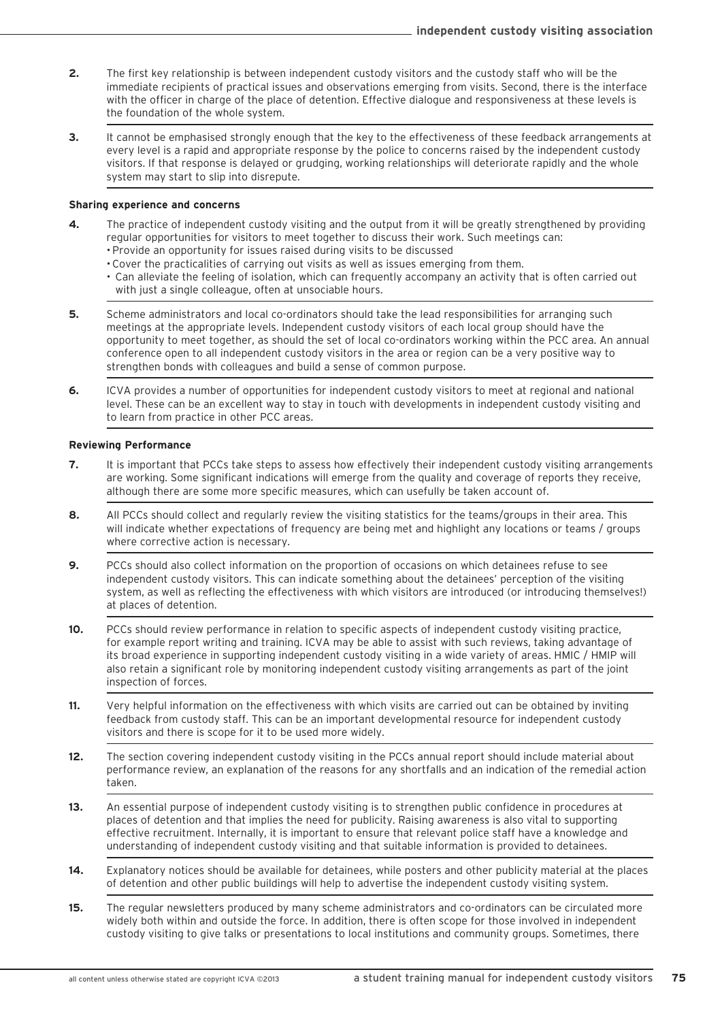- **2.** The first key relationship is between independent custody visitors and the custody staff who will be the immediate recipients of practical issues and observations emerging from visits. Second, there is the interface with the officer in charge of the place of detention. Effective dialogue and responsiveness at these levels is the foundation of the whole system.
- **3.** It cannot be emphasised strongly enough that the key to the effectiveness of these feedback arrangements at every level is a rapid and appropriate response by the police to concerns raised by the independent custody visitors. If that response is delayed or grudging, working relationships will deteriorate rapidly and the whole system may start to slip into disrepute.

### **Sharing experience and concerns**

- **4.** The practice of independent custody visiting and the output from it will be greatly strengthened by providing regular opportunities for visitors to meet together to discuss their work. Such meetings can:
	- Provide an opportunity for issues raised during visits to be discussed
	- Cover the practicalities of carrying out visits as well as issues emerging from them.
	- Can alleviate the feeling of isolation, which can frequently accompany an activity that is often carried out with just a single colleague, often at unsociable hours.
- **5.** Scheme administrators and local co-ordinators should take the lead responsibilities for arranging such meetings at the appropriate levels. Independent custody visitors of each local group should have the opportunity to meet together, as should the set of local co-ordinators working within the PCC area. An annual conference open to all independent custody visitors in the area or region can be a very positive way to strengthen bonds with colleagues and build a sense of common purpose.
- **6.** ICVA provides a number of opportunities for independent custody visitors to meet at regional and national level. These can be an excellent way to stay in touch with developments in independent custody visiting and to learn from practice in other PCC areas.

### **Reviewing Performance**

- **7.** It is important that PCCs take steps to assess how effectively their independent custody visiting arrangements are working. Some significant indications will emerge from the quality and coverage of reports they receive, although there are some more specific measures, which can usefully be taken account of.
- **8.** All PCCs should collect and regularly review the visiting statistics for the teams/groups in their area. This will indicate whether expectations of frequency are being met and highlight any locations or teams / groups where corrective action is necessary.
- **9.** PCCs should also collect information on the proportion of occasions on which detainees refuse to see independent custody visitors. This can indicate something about the detainees' perception of the visiting system, as well as reflecting the effectiveness with which visitors are introduced (or introducing themselves!) at places of detention.
- **10.** PCCs should review performance in relation to specific aspects of independent custody visiting practice, for example report writing and training. ICVA may be able to assist with such reviews, taking advantage of its broad experience in supporting independent custody visiting in a wide variety of areas. HMIC / HMIP will also retain a significant role by monitoring independent custody visiting arrangements as part of the joint inspection of forces.
- **11.** Very helpful information on the effectiveness with which visits are carried out can be obtained by inviting feedback from custody staff. This can be an important developmental resource for independent custody visitors and there is scope for it to be used more widely.
- **12.** The section covering independent custody visiting in the PCCs annual report should include material about performance review, an explanation of the reasons for any shortfalls and an indication of the remedial action taken.
- **13.** An essential purpose of independent custody visiting is to strengthen public confidence in procedures at places of detention and that implies the need for publicity. Raising awareness is also vital to supporting effective recruitment. Internally, it is important to ensure that relevant police staff have a knowledge and understanding of independent custody visiting and that suitable information is provided to detainees.
- **14.** Explanatory notices should be available for detainees, while posters and other publicity material at the places of detention and other public buildings will help to advertise the independent custody visiting system.
- **15.** The regular newsletters produced by many scheme administrators and co-ordinators can be circulated more widely both within and outside the force. In addition, there is often scope for those involved in independent custody visiting to give talks or presentations to local institutions and community groups. Sometimes, there